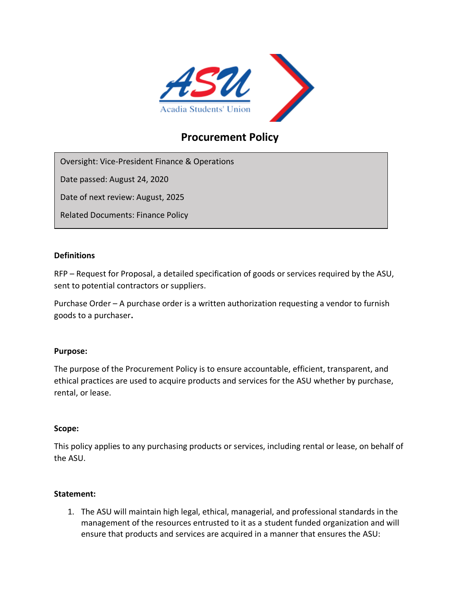

# **Procurement Policy**

Oversight: Vice-President Finance & Operations

Date passed: August 24, 2020

Date of next review: August, 2025

Related Documents: Finance Policy

### **Definitions**

RFP – Request for Proposal, a detailed specification of goods or services required by the ASU, sent to potential contractors or suppliers.

Purchase Order – A purchase order is a written authorization requesting a vendor to furnish goods to a purchaser**.**

## **Purpose:**

The purpose of the Procurement Policy is to ensure accountable, efficient, transparent, and ethical practices are used to acquire products and services for the ASU whether by purchase, rental, or lease.

#### **Scope:**

This policy applies to any purchasing products or services, including rental or lease, on behalf of the ASU.

## **Statement:**

1. The ASU will maintain high legal, ethical, managerial, and professional standards in the management of the resources entrusted to it as a student funded organization and will ensure that products and services are acquired in a manner that ensures the ASU: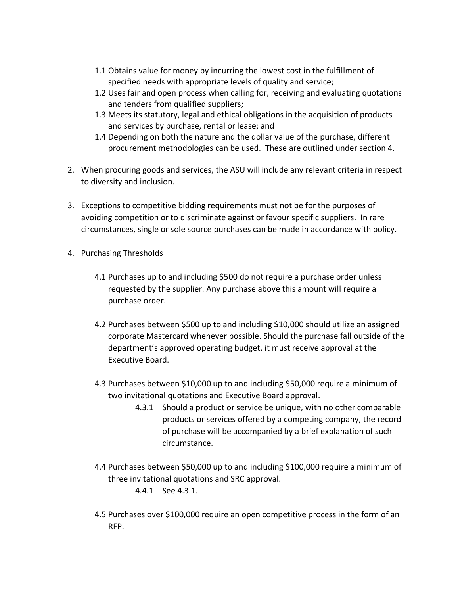- 1.1 Obtains value for money by incurring the lowest cost in the fulfillment of specified needs with appropriate levels of quality and service;
- 1.2 Uses fair and open process when calling for, receiving and evaluating quotations and tenders from qualified suppliers;
- 1.3 Meets its statutory, legal and ethical obligations in the acquisition of products and services by purchase, rental or lease; and
- 1.4 Depending on both the nature and the dollar value of the purchase, different procurement methodologies can be used. These are outlined under section 4.
- 2. When procuring goods and services, the ASU will include any relevant criteria in respect to diversity and inclusion.
- 3. Exceptions to competitive bidding requirements must not be for the purposes of avoiding competition or to discriminate against or favour specific suppliers. In rare circumstances, single or sole source purchases can be made in accordance with policy.

## 4. Purchasing Thresholds

- 4.1 Purchases up to and including \$500 do not require a purchase order unless requested by the supplier. Any purchase above this amount will require a purchase order.
- 4.2 Purchases between \$500 up to and including \$10,000 should utilize an assigned corporate Mastercard whenever possible. Should the purchase fall outside of the department's approved operating budget, it must receive approval at the Executive Board.
- 4.3 Purchases between \$10,000 up to and including \$50,000 require a minimum of two invitational quotations and Executive Board approval.
	- 4.3.1 Should a product or service be unique, with no other comparable products or services offered by a competing company, the record of purchase will be accompanied by a brief explanation of such circumstance.
- 4.4 Purchases between \$50,000 up to and including \$100,000 require a minimum of three invitational quotations and SRC approval.

4.4.1 See 4.3.1.

4.5 Purchases over \$100,000 require an open competitive process in the form of an RFP.